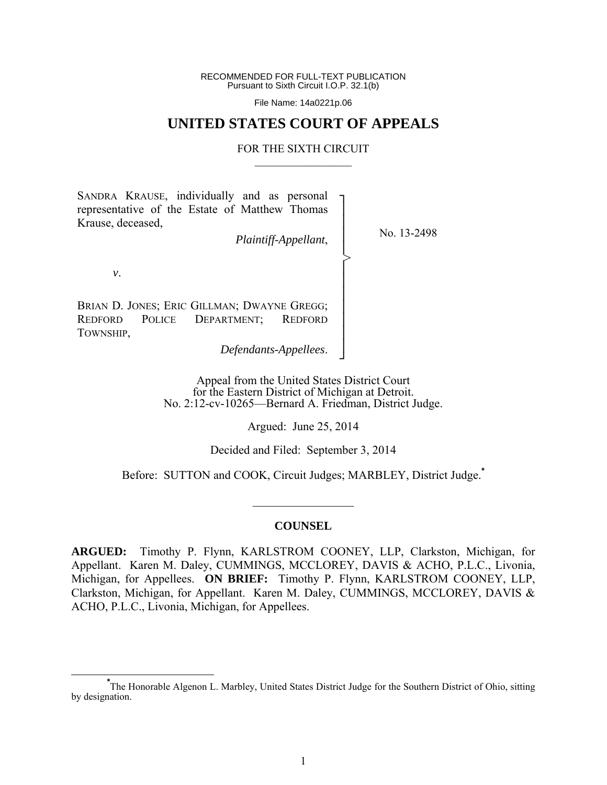RECOMMENDED FOR FULL-TEXT PUBLICATION Pursuant to Sixth Circuit I.O.P. 32.1(b)

File Name: 14a0221p.06

# **UNITED STATES COURT OF APPEALS**

### FOR THE SIXTH CIRCUIT  $\mathcal{L}_\text{max}$

┐ │ │ │ │ │ │ │ │ │ │ │ ┘

>

SANDRA KRAUSE, individually and as personal representative of the Estate of Matthew Thomas Krause, deceased,

*Plaintiff-Appellant*,

No. 13-2498

*v*.

BRIAN D. JONES; ERIC GILLMAN; DWAYNE GREGG; REDFORD POLICE DEPARTMENT; REDFORD TOWNSHIP,

*Defendants-Appellees*.

Appeal from the United States District Court for the Eastern District of Michigan at Detroit. No. 2:12-cv-10265—Bernard A. Friedman, District Judge.

Argued: June 25, 2014

Decided and Filed: September 3, 2014

Before: SUTTON and COOK, Circuit Judges; MARBLEY, District Judge.**\***

### **COUNSEL**

 $\frac{1}{2}$  ,  $\frac{1}{2}$  ,  $\frac{1}{2}$  ,  $\frac{1}{2}$  ,  $\frac{1}{2}$  ,  $\frac{1}{2}$  ,  $\frac{1}{2}$  ,  $\frac{1}{2}$  ,  $\frac{1}{2}$ 

**ARGUED:** Timothy P. Flynn, KARLSTROM COONEY, LLP, Clarkston, Michigan, for Appellant. Karen M. Daley, CUMMINGS, MCCLOREY, DAVIS & ACHO, P.L.C., Livonia, Michigan, for Appellees. **ON BRIEF:** Timothy P. Flynn, KARLSTROM COONEY, LLP, Clarkston, Michigan, for Appellant. Karen M. Daley, CUMMINGS, MCCLOREY, DAVIS & ACHO, P.L.C., Livonia, Michigan, for Appellees.

**\*** The Honorable Algenon L. Marbley, United States District Judge for the Southern District of Ohio, sitting by designation.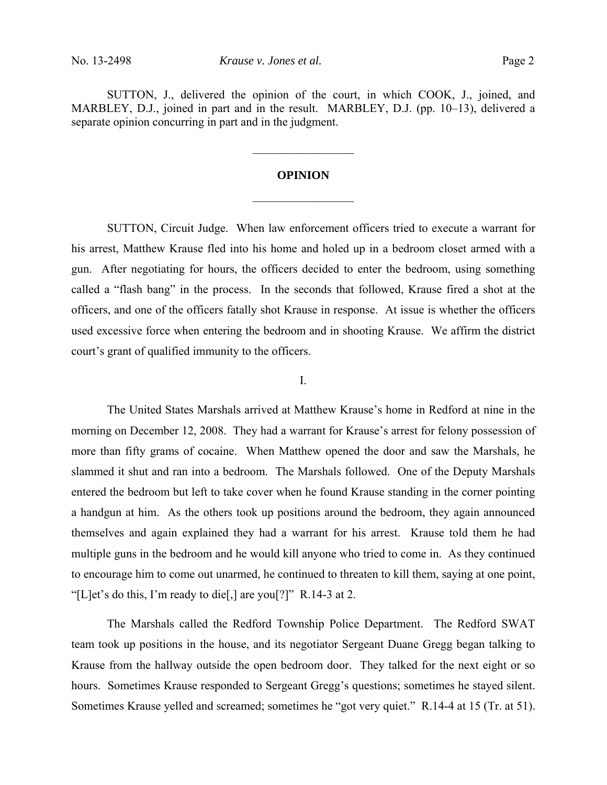SUTTON, J., delivered the opinion of the court, in which COOK, J., joined, and MARBLEY, D.J., joined in part and in the result. MARBLEY, D.J. (pp. 10–13), delivered a separate opinion concurring in part and in the judgment.

# **OPINION**

 $\mathcal{L}_\text{max}$ 

 $\frac{1}{2}$ 

 SUTTON, Circuit Judge. When law enforcement officers tried to execute a warrant for his arrest, Matthew Krause fled into his home and holed up in a bedroom closet armed with a gun. After negotiating for hours, the officers decided to enter the bedroom, using something called a "flash bang" in the process. In the seconds that followed, Krause fired a shot at the officers, and one of the officers fatally shot Krause in response. At issue is whether the officers used excessive force when entering the bedroom and in shooting Krause. We affirm the district court's grant of qualified immunity to the officers.

#### I.

 The United States Marshals arrived at Matthew Krause's home in Redford at nine in the morning on December 12, 2008. They had a warrant for Krause's arrest for felony possession of more than fifty grams of cocaine. When Matthew opened the door and saw the Marshals, he slammed it shut and ran into a bedroom. The Marshals followed. One of the Deputy Marshals entered the bedroom but left to take cover when he found Krause standing in the corner pointing a handgun at him. As the others took up positions around the bedroom, they again announced themselves and again explained they had a warrant for his arrest. Krause told them he had multiple guns in the bedroom and he would kill anyone who tried to come in. As they continued to encourage him to come out unarmed, he continued to threaten to kill them, saying at one point, "[L]et's do this, I'm ready to die[,] are you[?]" R.14-3 at 2.

 The Marshals called the Redford Township Police Department. The Redford SWAT team took up positions in the house, and its negotiator Sergeant Duane Gregg began talking to Krause from the hallway outside the open bedroom door. They talked for the next eight or so hours. Sometimes Krause responded to Sergeant Gregg's questions; sometimes he stayed silent. Sometimes Krause yelled and screamed; sometimes he "got very quiet." R.14-4 at 15 (Tr. at 51).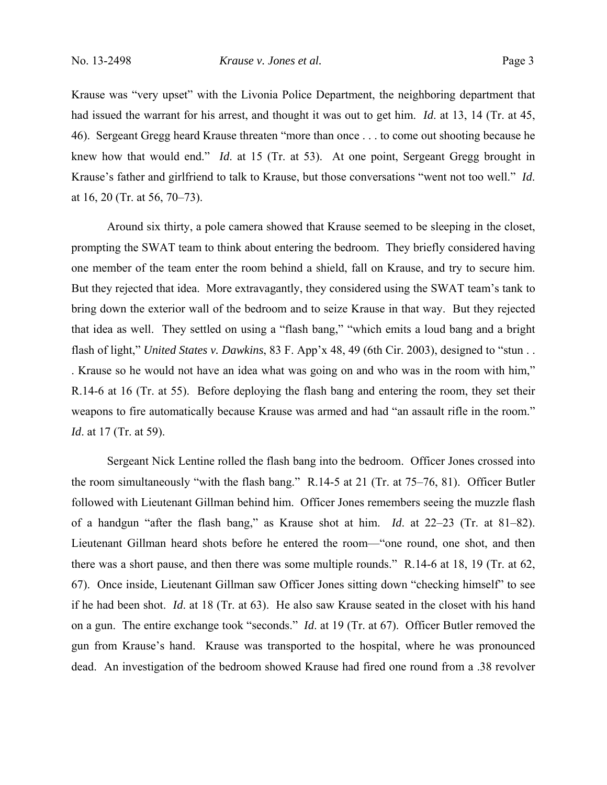Krause was "very upset" with the Livonia Police Department, the neighboring department that had issued the warrant for his arrest, and thought it was out to get him. *Id*. at 13, 14 (Tr. at 45, 46). Sergeant Gregg heard Krause threaten "more than once . . . to come out shooting because he knew how that would end." *Id*. at 15 (Tr. at 53). At one point, Sergeant Gregg brought in Krause's father and girlfriend to talk to Krause, but those conversations "went not too well." *Id*. at 16, 20 (Tr. at 56, 70–73).

 Around six thirty, a pole camera showed that Krause seemed to be sleeping in the closet, prompting the SWAT team to think about entering the bedroom. They briefly considered having one member of the team enter the room behind a shield, fall on Krause, and try to secure him. But they rejected that idea. More extravagantly, they considered using the SWAT team's tank to bring down the exterior wall of the bedroom and to seize Krause in that way. But they rejected that idea as well. They settled on using a "flash bang," "which emits a loud bang and a bright flash of light," *United States v. Dawkins*, 83 F. App'x 48, 49 (6th Cir. 2003), designed to "stun . . . Krause so he would not have an idea what was going on and who was in the room with him," R.14-6 at 16 (Tr. at 55). Before deploying the flash bang and entering the room, they set their weapons to fire automatically because Krause was armed and had "an assault rifle in the room." *Id.* at 17 (Tr. at 59).

 Sergeant Nick Lentine rolled the flash bang into the bedroom. Officer Jones crossed into the room simultaneously "with the flash bang." R.14-5 at 21 (Tr. at 75–76, 81). Officer Butler followed with Lieutenant Gillman behind him. Officer Jones remembers seeing the muzzle flash of a handgun "after the flash bang," as Krause shot at him. *Id*. at 22–23 (Tr. at 81–82). Lieutenant Gillman heard shots before he entered the room—"one round, one shot, and then there was a short pause, and then there was some multiple rounds." R.14-6 at 18, 19 (Tr. at 62, 67). Once inside, Lieutenant Gillman saw Officer Jones sitting down "checking himself" to see if he had been shot. *Id*. at 18 (Tr. at 63). He also saw Krause seated in the closet with his hand on a gun. The entire exchange took "seconds." *Id*. at 19 (Tr. at 67). Officer Butler removed the gun from Krause's hand. Krause was transported to the hospital, where he was pronounced dead. An investigation of the bedroom showed Krause had fired one round from a .38 revolver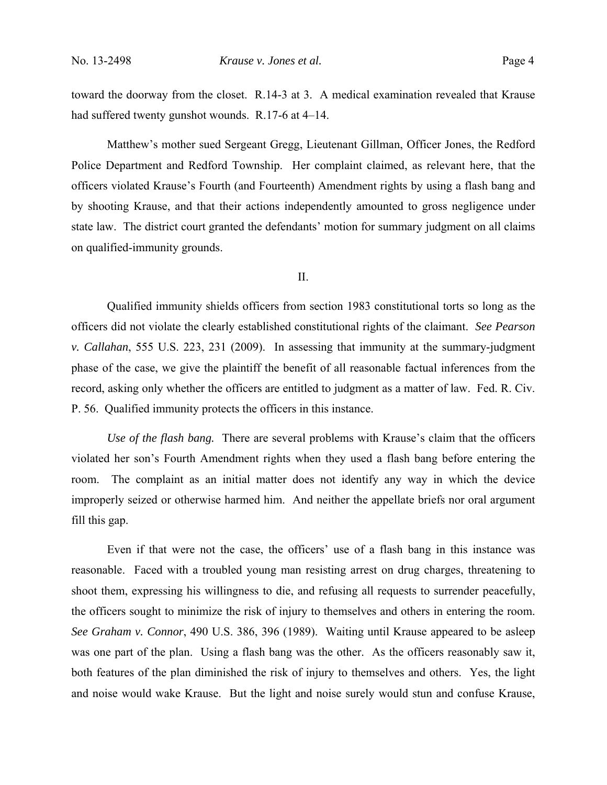toward the doorway from the closet. R.14-3 at 3. A medical examination revealed that Krause had suffered twenty gunshot wounds. R.17-6 at 4–14.

 Matthew's mother sued Sergeant Gregg, Lieutenant Gillman, Officer Jones, the Redford Police Department and Redford Township. Her complaint claimed, as relevant here, that the officers violated Krause's Fourth (and Fourteenth) Amendment rights by using a flash bang and by shooting Krause, and that their actions independently amounted to gross negligence under state law. The district court granted the defendants' motion for summary judgment on all claims on qualified-immunity grounds.

II.

 Qualified immunity shields officers from section 1983 constitutional torts so long as the officers did not violate the clearly established constitutional rights of the claimant. *See Pearson v. Callahan*, 555 U.S. 223, 231 (2009). In assessing that immunity at the summary-judgment phase of the case, we give the plaintiff the benefit of all reasonable factual inferences from the record, asking only whether the officers are entitled to judgment as a matter of law. Fed. R. Civ. P. 56. Qualified immunity protects the officers in this instance.

*Use of the flash bang.* There are several problems with Krause's claim that the officers violated her son's Fourth Amendment rights when they used a flash bang before entering the room. The complaint as an initial matter does not identify any way in which the device improperly seized or otherwise harmed him. And neither the appellate briefs nor oral argument fill this gap.

Even if that were not the case, the officers' use of a flash bang in this instance was reasonable. Faced with a troubled young man resisting arrest on drug charges, threatening to shoot them, expressing his willingness to die, and refusing all requests to surrender peacefully, the officers sought to minimize the risk of injury to themselves and others in entering the room. *See Graham v. Connor*, 490 U.S. 386, 396 (1989). Waiting until Krause appeared to be asleep was one part of the plan. Using a flash bang was the other. As the officers reasonably saw it, both features of the plan diminished the risk of injury to themselves and others. Yes, the light and noise would wake Krause. But the light and noise surely would stun and confuse Krause,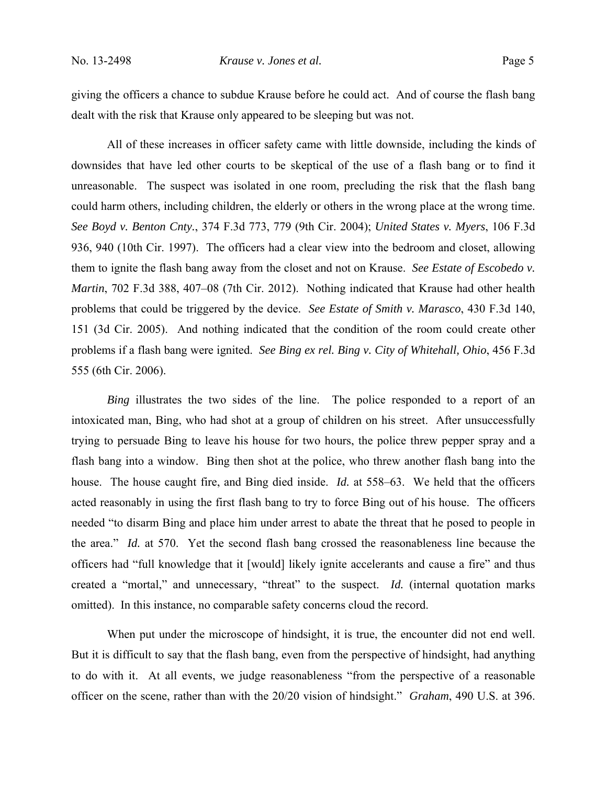giving the officers a chance to subdue Krause before he could act. And of course the flash bang dealt with the risk that Krause only appeared to be sleeping but was not.

All of these increases in officer safety came with little downside, including the kinds of downsides that have led other courts to be skeptical of the use of a flash bang or to find it unreasonable. The suspect was isolated in one room, precluding the risk that the flash bang could harm others, including children, the elderly or others in the wrong place at the wrong time. *See Boyd v. Benton Cnty.*, 374 F.3d 773, 779 (9th Cir. 2004); *United States v. Myers*, 106 F.3d 936, 940 (10th Cir. 1997). The officers had a clear view into the bedroom and closet, allowing them to ignite the flash bang away from the closet and not on Krause. *See Estate of Escobedo v. Martin*, 702 F.3d 388, 407–08 (7th Cir. 2012). Nothing indicated that Krause had other health problems that could be triggered by the device. *See Estate of Smith v. Marasco*, 430 F.3d 140, 151 (3d Cir. 2005). And nothing indicated that the condition of the room could create other problems if a flash bang were ignited. *See Bing ex rel. Bing v. City of Whitehall, Ohio*, 456 F.3d 555 (6th Cir. 2006).

*Bing* illustrates the two sides of the line. The police responded to a report of an intoxicated man, Bing, who had shot at a group of children on his street. After unsuccessfully trying to persuade Bing to leave his house for two hours, the police threw pepper spray and a flash bang into a window. Bing then shot at the police, who threw another flash bang into the house. The house caught fire, and Bing died inside. *Id.* at 558–63. We held that the officers acted reasonably in using the first flash bang to try to force Bing out of his house. The officers needed "to disarm Bing and place him under arrest to abate the threat that he posed to people in the area." *Id.* at 570. Yet the second flash bang crossed the reasonableness line because the officers had "full knowledge that it [would] likely ignite accelerants and cause a fire" and thus created a "mortal," and unnecessary, "threat" to the suspect. *Id.* (internal quotation marks omitted). In this instance, no comparable safety concerns cloud the record.

When put under the microscope of hindsight, it is true, the encounter did not end well. But it is difficult to say that the flash bang, even from the perspective of hindsight, had anything to do with it. At all events, we judge reasonableness "from the perspective of a reasonable officer on the scene, rather than with the 20/20 vision of hindsight." *Graham*, 490 U.S. at 396.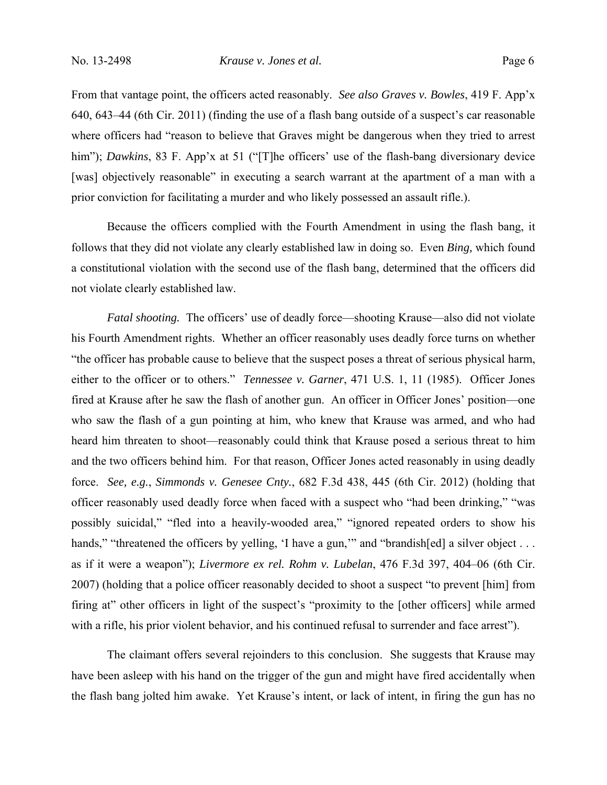## No. 13-2498 *Krause v. Jones et al.* Page 6

From that vantage point, the officers acted reasonably. *See also Graves v. Bowles*, 419 F. App'x 640, 643–44 (6th Cir. 2011) (finding the use of a flash bang outside of a suspect's car reasonable where officers had "reason to believe that Graves might be dangerous when they tried to arrest him"); *Dawkins*, 83 F. App'x at 51 ("[T]he officers' use of the flash-bang diversionary device [was] objectively reasonable" in executing a search warrant at the apartment of a man with a prior conviction for facilitating a murder and who likely possessed an assault rifle.).

Because the officers complied with the Fourth Amendment in using the flash bang, it follows that they did not violate any clearly established law in doing so. Even *Bing,* which found a constitutional violation with the second use of the flash bang, determined that the officers did not violate clearly established law.

*Fatal shooting.* The officers' use of deadly force—shooting Krause—also did not violate his Fourth Amendment rights. Whether an officer reasonably uses deadly force turns on whether "the officer has probable cause to believe that the suspect poses a threat of serious physical harm, either to the officer or to others." *Tennessee v. Garner*, 471 U.S. 1, 11 (1985). Officer Jones fired at Krause after he saw the flash of another gun. An officer in Officer Jones' position—one who saw the flash of a gun pointing at him, who knew that Krause was armed, and who had heard him threaten to shoot—reasonably could think that Krause posed a serious threat to him and the two officers behind him. For that reason, Officer Jones acted reasonably in using deadly force. *See, e.g.*, *Simmonds v. Genesee Cnty.*, 682 F.3d 438, 445 (6th Cir. 2012) (holding that officer reasonably used deadly force when faced with a suspect who "had been drinking," "was possibly suicidal," "fled into a heavily-wooded area," "ignored repeated orders to show his hands," "threatened the officers by yelling, 'I have a gun,"" and "brandish[ed] a silver object ... as if it were a weapon"); *Livermore ex rel. Rohm v. Lubelan*, 476 F.3d 397, 404–06 (6th Cir. 2007) (holding that a police officer reasonably decided to shoot a suspect "to prevent [him] from firing at" other officers in light of the suspect's "proximity to the [other officers] while armed with a rifle, his prior violent behavior, and his continued refusal to surrender and face arrest").

 The claimant offers several rejoinders to this conclusion. She suggests that Krause may have been asleep with his hand on the trigger of the gun and might have fired accidentally when the flash bang jolted him awake. Yet Krause's intent, or lack of intent, in firing the gun has no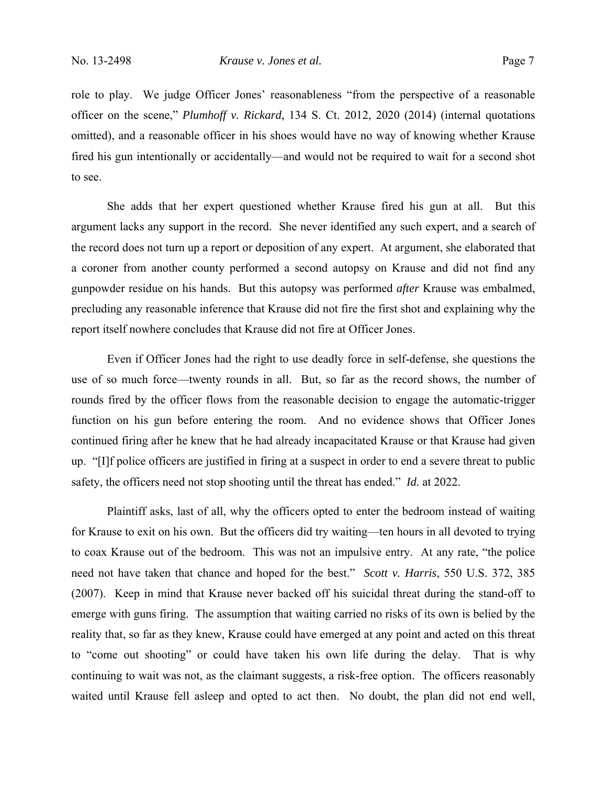role to play. We judge Officer Jones' reasonableness "from the perspective of a reasonable officer on the scene," *Plumhoff v. Rickard*, 134 S. Ct. 2012, 2020 (2014) (internal quotations omitted), and a reasonable officer in his shoes would have no way of knowing whether Krause fired his gun intentionally or accidentally—and would not be required to wait for a second shot to see.

 She adds that her expert questioned whether Krause fired his gun at all. But this argument lacks any support in the record. She never identified any such expert, and a search of the record does not turn up a report or deposition of any expert. At argument, she elaborated that a coroner from another county performed a second autopsy on Krause and did not find any gunpowder residue on his hands. But this autopsy was performed *after* Krause was embalmed, precluding any reasonable inference that Krause did not fire the first shot and explaining why the report itself nowhere concludes that Krause did not fire at Officer Jones.

 Even if Officer Jones had the right to use deadly force in self-defense, she questions the use of so much force—twenty rounds in all. But, so far as the record shows, the number of rounds fired by the officer flows from the reasonable decision to engage the automatic-trigger function on his gun before entering the room. And no evidence shows that Officer Jones continued firing after he knew that he had already incapacitated Krause or that Krause had given up. "[I]f police officers are justified in firing at a suspect in order to end a severe threat to public safety, the officers need not stop shooting until the threat has ended." *Id.* at 2022.

 Plaintiff asks, last of all, why the officers opted to enter the bedroom instead of waiting for Krause to exit on his own. But the officers did try waiting—ten hours in all devoted to trying to coax Krause out of the bedroom. This was not an impulsive entry. At any rate, "the police need not have taken that chance and hoped for the best." *Scott v. Harris*, 550 U.S. 372, 385 (2007). Keep in mind that Krause never backed off his suicidal threat during the stand-off to emerge with guns firing. The assumption that waiting carried no risks of its own is belied by the reality that, so far as they knew, Krause could have emerged at any point and acted on this threat to "come out shooting" or could have taken his own life during the delay. That is why continuing to wait was not, as the claimant suggests, a risk-free option. The officers reasonably waited until Krause fell asleep and opted to act then. No doubt, the plan did not end well,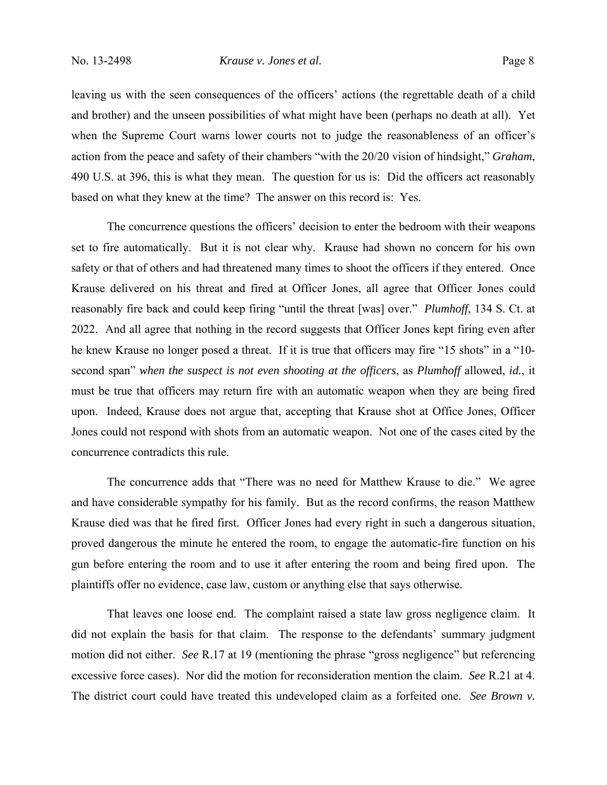## No. 13-2498 *Krause v. Jones et al.* Page 8

leaving us with the seen consequences of the officers' actions (the regrettable death of a child and brother) and the unseen possibilities of what might have been (perhaps no death at all). Yet when the Supreme Court warns lower courts not to judge the reasonableness of an officer's action from the peace and safety of their chambers "with the 20/20 vision of hindsight," *Graham*, 490 U.S. at 396, this is what they mean. The question for us is: Did the officers act reasonably based on what they knew at the time? The answer on this record is: Yes.

 The concurrence questions the officers' decision to enter the bedroom with their weapons set to fire automatically. But it is not clear why. Krause had shown no concern for his own safety or that of others and had threatened many times to shoot the officers if they entered. Once Krause delivered on his threat and fired at Officer Jones, all agree that Officer Jones could reasonably fire back and could keep firing "until the threat [was] over." *Plumhoff*, 134 S. Ct. at 2022. And all agree that nothing in the record suggests that Officer Jones kept firing even after he knew Krause no longer posed a threat. If it is true that officers may fire "15 shots" in a "10second span" *when the suspect is not even shooting at the officers*, as *Plumhoff* allowed, *id.*, it must be true that officers may return fire with an automatic weapon when they are being fired upon. Indeed, Krause does not argue that, accepting that Krause shot at Office Jones, Officer Jones could not respond with shots from an automatic weapon. Not one of the cases cited by the concurrence contradicts this rule.

The concurrence adds that "There was no need for Matthew Krause to die." We agree and have considerable sympathy for his family. But as the record confirms, the reason Matthew Krause died was that he fired first. Officer Jones had every right in such a dangerous situation, proved dangerous the minute he entered the room, to engage the automatic-fire function on his gun before entering the room and to use it after entering the room and being fired upon. The plaintiffs offer no evidence, case law, custom or anything else that says otherwise.

That leaves one loose end. The complaint raised a state law gross negligence claim. It did not explain the basis for that claim. The response to the defendants' summary judgment motion did not either. *See* R.17 at 19 (mentioning the phrase "gross negligence" but referencing excessive force cases). Nor did the motion for reconsideration mention the claim. *See* R.21 at 4. The district court could have treated this undeveloped claim as a forfeited one. *See Brown v.*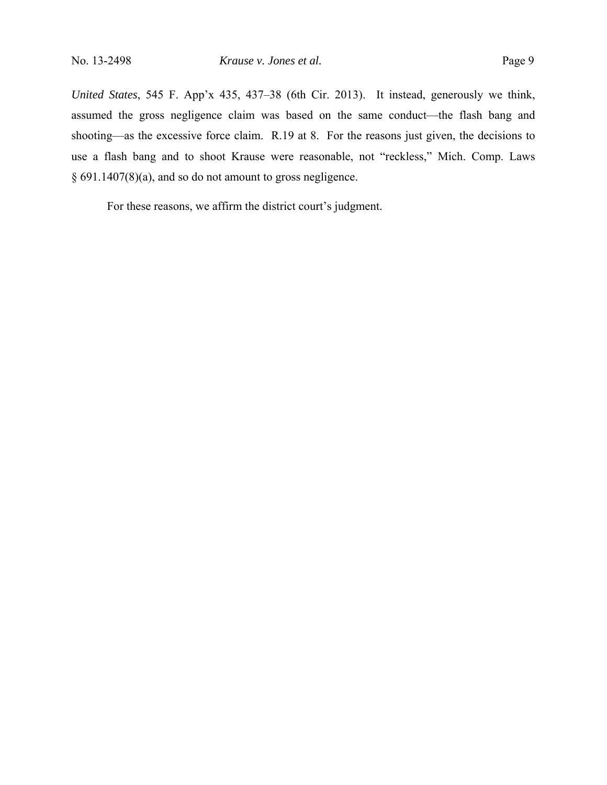*United States*, 545 F. App'x 435, 437–38 (6th Cir. 2013). It instead, generously we think, assumed the gross negligence claim was based on the same conduct—the flash bang and shooting—as the excessive force claim. R.19 at 8. For the reasons just given, the decisions to use a flash bang and to shoot Krause were reasonable, not "reckless," Mich. Comp. Laws § 691.1407(8)(a), and so do not amount to gross negligence.

For these reasons, we affirm the district court's judgment.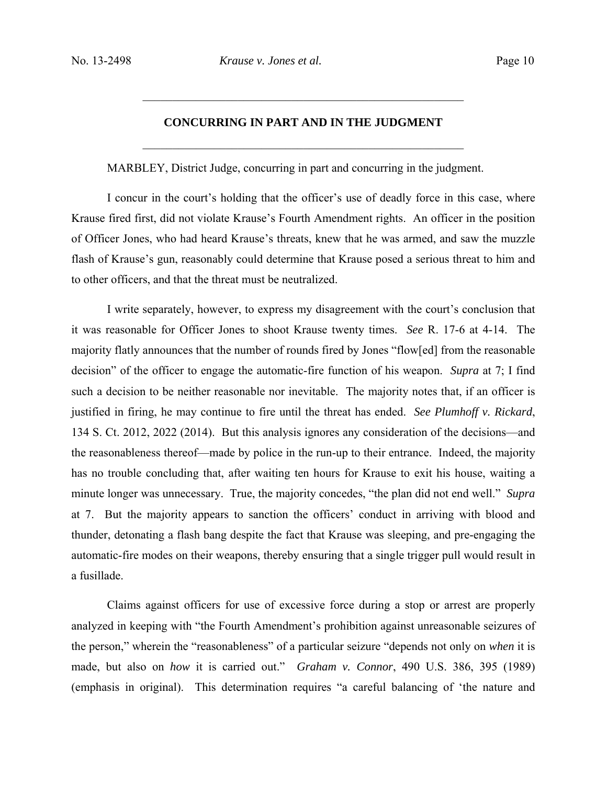# **CONCURRING IN PART AND IN THE JUDGMENT**

 $\mathcal{L}_\text{max}$  , and the contract of the contract of the contract of the contract of the contract of the contract of the contract of the contract of the contract of the contract of the contract of the contract of the contr

 $\mathcal{L}_\text{max}$  , and the contract of the contract of the contract of the contract of the contract of the contract of the contract of the contract of the contract of the contract of the contract of the contract of the contr

MARBLEY, District Judge, concurring in part and concurring in the judgment.

I concur in the court's holding that the officer's use of deadly force in this case, where Krause fired first, did not violate Krause's Fourth Amendment rights. An officer in the position of Officer Jones, who had heard Krause's threats, knew that he was armed, and saw the muzzle flash of Krause's gun, reasonably could determine that Krause posed a serious threat to him and to other officers, and that the threat must be neutralized.

I write separately, however, to express my disagreement with the court's conclusion that it was reasonable for Officer Jones to shoot Krause twenty times. *See* R. 17-6 at 4-14. The majority flatly announces that the number of rounds fired by Jones "flow[ed] from the reasonable decision" of the officer to engage the automatic-fire function of his weapon. *Supra* at 7; I find such a decision to be neither reasonable nor inevitable. The majority notes that, if an officer is justified in firing, he may continue to fire until the threat has ended. *See Plumhoff v. Rickard*, 134 S. Ct. 2012, 2022 (2014). But this analysis ignores any consideration of the decisions—and the reasonableness thereof—made by police in the run-up to their entrance. Indeed, the majority has no trouble concluding that, after waiting ten hours for Krause to exit his house, waiting a minute longer was unnecessary. True, the majority concedes, "the plan did not end well." *Supra* at 7. But the majority appears to sanction the officers' conduct in arriving with blood and thunder, detonating a flash bang despite the fact that Krause was sleeping, and pre-engaging the automatic-fire modes on their weapons, thereby ensuring that a single trigger pull would result in a fusillade.

Claims against officers for use of excessive force during a stop or arrest are properly analyzed in keeping with "the Fourth Amendment's prohibition against unreasonable seizures of the person," wherein the "reasonableness" of a particular seizure "depends not only on *when* it is made, but also on *how* it is carried out." *Graham v. Connor*, 490 U.S. 386, 395 (1989) (emphasis in original). This determination requires "a careful balancing of 'the nature and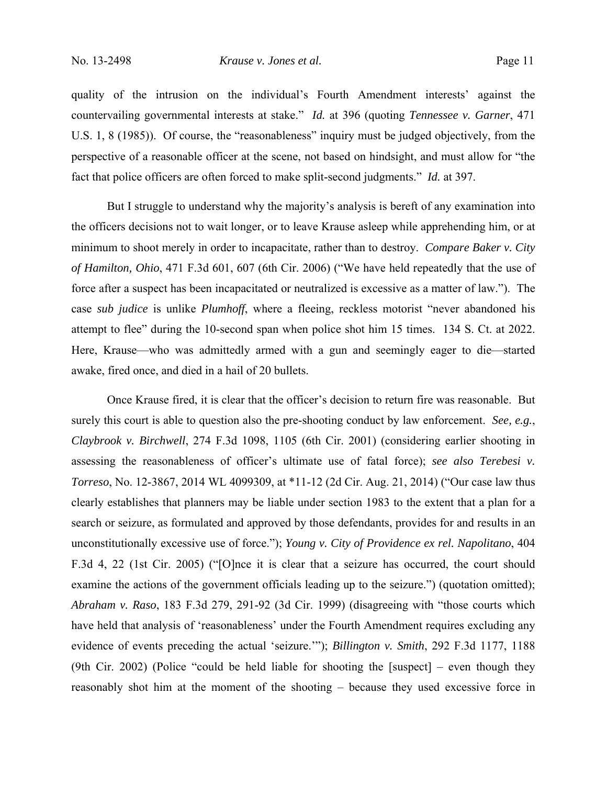### No. 13-2498 *Krause v. Jones et al.* Page 11

quality of the intrusion on the individual's Fourth Amendment interests' against the countervailing governmental interests at stake." *Id.* at 396 (quoting *Tennessee v. Garner*, 471 U.S. 1, 8 (1985)). Of course, the "reasonableness" inquiry must be judged objectively, from the perspective of a reasonable officer at the scene, not based on hindsight, and must allow for "the fact that police officers are often forced to make split-second judgments." *Id.* at 397.

But I struggle to understand why the majority's analysis is bereft of any examination into the officers decisions not to wait longer, or to leave Krause asleep while apprehending him, or at minimum to shoot merely in order to incapacitate, rather than to destroy. *Compare Baker v. City of Hamilton, Ohio*, 471 F.3d 601, 607 (6th Cir. 2006) ("We have held repeatedly that the use of force after a suspect has been incapacitated or neutralized is excessive as a matter of law."). The case *sub judice* is unlike *Plumhoff*, where a fleeing, reckless motorist "never abandoned his attempt to flee" during the 10-second span when police shot him 15 times. 134 S. Ct. at 2022. Here, Krause—who was admittedly armed with a gun and seemingly eager to die—started awake, fired once, and died in a hail of 20 bullets.

Once Krause fired, it is clear that the officer's decision to return fire was reasonable. But surely this court is able to question also the pre-shooting conduct by law enforcement. *See, e.g.*, *Claybrook v. Birchwell*, 274 F.3d 1098, 1105 (6th Cir. 2001) (considering earlier shooting in assessing the reasonableness of officer's ultimate use of fatal force); *see also Terebesi v. Torreso*, No. 12-3867, 2014 WL 4099309, at \*11-12 (2d Cir. Aug. 21, 2014) ("Our case law thus clearly establishes that planners may be liable under section 1983 to the extent that a plan for a search or seizure, as formulated and approved by those defendants, provides for and results in an unconstitutionally excessive use of force."); *Young v. City of Providence ex rel. Napolitano*, 404 F.3d 4, 22 (1st Cir. 2005) ("[O]nce it is clear that a seizure has occurred, the court should examine the actions of the government officials leading up to the seizure.") (quotation omitted); *Abraham v. Raso*, 183 F.3d 279, 291-92 (3d Cir. 1999) (disagreeing with "those courts which have held that analysis of 'reasonableness' under the Fourth Amendment requires excluding any evidence of events preceding the actual 'seizure.'"); *Billington v. Smith*, 292 F.3d 1177, 1188 (9th Cir. 2002) (Police "could be held liable for shooting the [suspect] – even though they reasonably shot him at the moment of the shooting – because they used excessive force in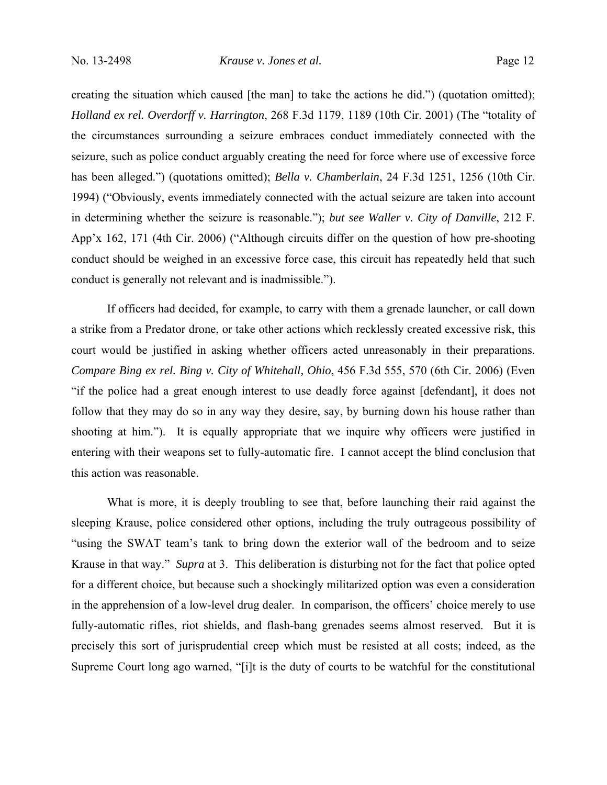creating the situation which caused [the man] to take the actions he did.") (quotation omitted); *Holland ex rel. Overdorff v. Harrington*, 268 F.3d 1179, 1189 (10th Cir. 2001) (The "totality of the circumstances surrounding a seizure embraces conduct immediately connected with the seizure, such as police conduct arguably creating the need for force where use of excessive force has been alleged.") (quotations omitted); *Bella v. Chamberlain*, 24 F.3d 1251, 1256 (10th Cir. 1994) ("Obviously, events immediately connected with the actual seizure are taken into account in determining whether the seizure is reasonable."); *but see Waller v. City of Danville*, 212 F. App'x 162, 171 (4th Cir. 2006) ("Although circuits differ on the question of how pre-shooting conduct should be weighed in an excessive force case, this circuit has repeatedly held that such conduct is generally not relevant and is inadmissible.").

If officers had decided, for example, to carry with them a grenade launcher, or call down a strike from a Predator drone, or take other actions which recklessly created excessive risk, this court would be justified in asking whether officers acted unreasonably in their preparations. *Compare Bing ex rel. Bing v. City of Whitehall, Ohio*, 456 F.3d 555, 570 (6th Cir. 2006) (Even "if the police had a great enough interest to use deadly force against [defendant], it does not follow that they may do so in any way they desire, say, by burning down his house rather than shooting at him."). It is equally appropriate that we inquire why officers were justified in entering with their weapons set to fully-automatic fire. I cannot accept the blind conclusion that this action was reasonable.

What is more, it is deeply troubling to see that, before launching their raid against the sleeping Krause, police considered other options, including the truly outrageous possibility of "using the SWAT team's tank to bring down the exterior wall of the bedroom and to seize Krause in that way." *Supra* at 3. This deliberation is disturbing not for the fact that police opted for a different choice, but because such a shockingly militarized option was even a consideration in the apprehension of a low-level drug dealer. In comparison, the officers' choice merely to use fully-automatic rifles, riot shields, and flash-bang grenades seems almost reserved. But it is precisely this sort of jurisprudential creep which must be resisted at all costs; indeed, as the Supreme Court long ago warned, "[i]t is the duty of courts to be watchful for the constitutional